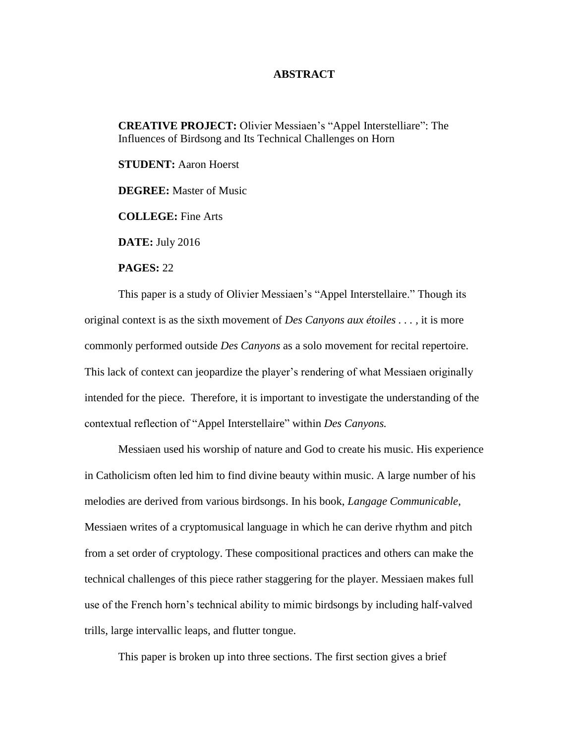## **ABSTRACT**

**CREATIVE PROJECT:** Olivier Messiaen's "Appel Interstelliare": The Influences of Birdsong and Its Technical Challenges on Horn

**STUDENT:** Aaron Hoerst

**DEGREE:** Master of Music

**COLLEGE:** Fine Arts

**DATE:** July 2016

**PAGES:** 22

This paper is a study of Olivier Messiaen's "Appel Interstellaire." Though its original context is as the sixth movement of *Des Canyons aux étoiles . . . ,* it is more commonly performed outside *Des Canyons* as a solo movement for recital repertoire. This lack of context can jeopardize the player's rendering of what Messiaen originally intended for the piece. Therefore, it is important to investigate the understanding of the contextual reflection of "Appel Interstellaire" within *Des Canyons.*

Messiaen used his worship of nature and God to create his music. His experience in Catholicism often led him to find divine beauty within music. A large number of his melodies are derived from various birdsongs. In his book, *Langage Communicable*, Messiaen writes of a cryptomusical language in which he can derive rhythm and pitch from a set order of cryptology. These compositional practices and others can make the technical challenges of this piece rather staggering for the player. Messiaen makes full use of the French horn's technical ability to mimic birdsongs by including half-valved trills, large intervallic leaps, and flutter tongue.

This paper is broken up into three sections. The first section gives a brief